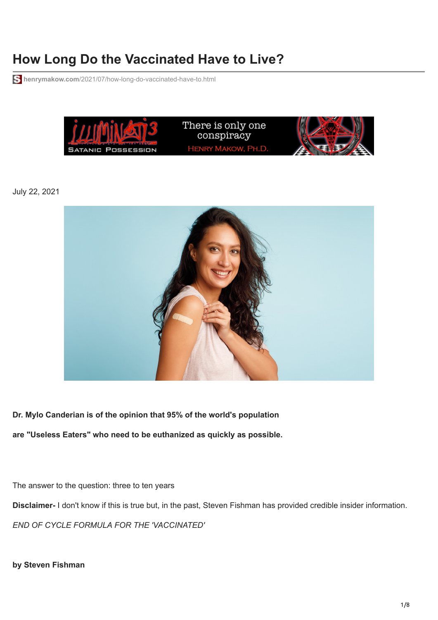# **How Long Do the Vaccinated Have to Live?**

**henrymakow.com**[/2021/07/how-long-do-vaccinated-have-to.html](https://www.henrymakow.com/2021/07/how-long-do-vaccinated-have-to.html)



July 22, 2021



**Dr. Mylo Canderian is of the opinion that 95% of the world's population are "Useless Eaters" who need to be euthanized as quickly as possible.**

The answer to the question: three to ten years **Disclaimer-** I don't know if this is true but, in the past, Steven Fishman has provided credible insider information. *END OF CYCLE FORMULA FOR THE 'VACCINATED'*

**by Steven Fishman**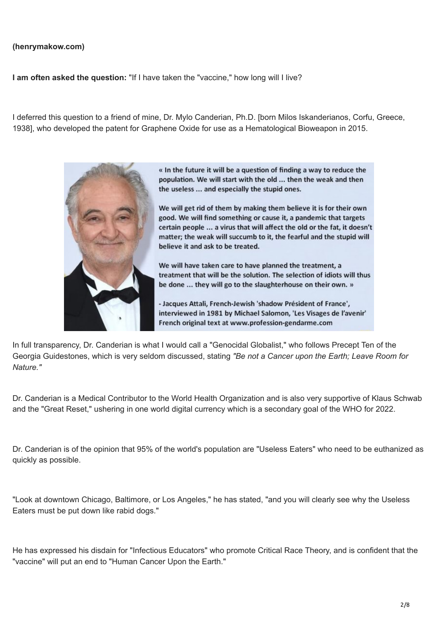#### **(henrymakow.com)**

**I am often asked the question:** "If I have taken the "vaccine," how long will I live?

I deferred this question to a friend of mine, Dr. Mylo Canderian, Ph.D. [born Milos Iskanderianos, Corfu, Greece, 1938], who developed the patent for Graphene Oxide for use as a Hematological Bioweapon in 2015.



« In the future it will be a question of finding a way to reduce the population. We will start with the old ... then the weak and then the useless ... and especially the stupid ones.

We will get rid of them by making them believe it is for their own good. We will find something or cause it, a pandemic that targets certain people ... a virus that will affect the old or the fat, it doesn't matter; the weak will succumb to it, the fearful and the stupid will believe it and ask to be treated.

We will have taken care to have planned the treatment, a treatment that will be the solution. The selection of idiots will thus be done ... they will go to the slaughterhouse on their own. »

- Jacques Attali, French-Jewish 'shadow Président of France', interviewed in 1981 by Michael Salomon, 'Les Visages de l'avenir' French original text at www.profession-gendarme.com

In full transparency, Dr. Canderian is what I would call a "Genocidal Globalist," who follows Precept Ten of the Georgia Guidestones, which is very seldom discussed, stating *"Be not a Cancer upon the Earth; Leave Room for Nature."*

Dr. Canderian is a Medical Contributor to the World Health Organization and is also very supportive of Klaus Schwab and the "Great Reset," ushering in one world digital currency which is a secondary goal of the WHO for 2022.

Dr. Canderian is of the opinion that 95% of the world's population are "Useless Eaters" who need to be euthanized as quickly as possible.

"Look at downtown Chicago, Baltimore, or Los Angeles," he has stated, "and you will clearly see why the Useless Eaters must be put down like rabid dogs."

He has expressed his disdain for "Infectious Educators" who promote Critical Race Theory, and is confident that the "vaccine" will put an end to "Human Cancer Upon the Earth."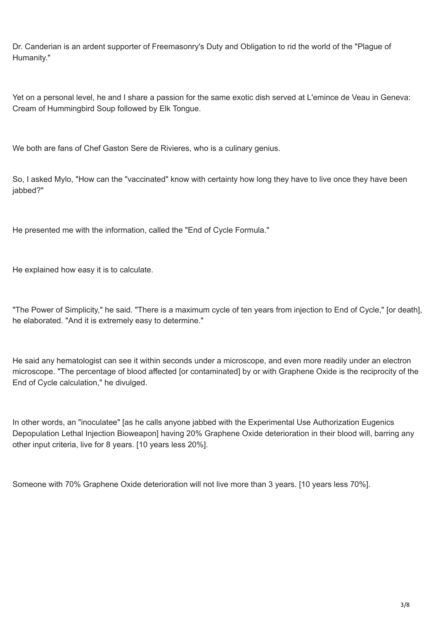Dr. Canderian is an ardent supporter of Freemasonry's Duty and Obligation to rid the world of the "Plague of Humanity."

Yet on a personal level, he and I share a passion for the same exotic dish served at L'emince de Veau in Geneva: Cream of Hummingbird Soup followed by Elk Tongue.

We both are fans of Chef Gaston Sere de Rivieres, who is a culinary genius.

So, I asked Mylo, "How can the "vaccinated" know with certainty how long they have to live once they have been iabbed?"

He presented me with the information, called the "End of Cycle Formula."

He explained how easy it is to calculate.

"The Power of Simplicity," he said. "There is a maximum cycle of ten years from injection to End of Cycle," [or death], he elaborated. "And it is extremely easy to determine."

He said any hematologist can see it within seconds under a microscope, and even more readily under an electron microscope. "The percentage of blood affected [or contaminated] by or with Graphene Oxide is the reciprocity of the End of Cycle calculation," he divulged.

In other words, an "inoculatee" [as he calls anyone jabbed with the Experimental Use Authorization Eugenics Depopulation Lethal Injection Bioweapon] having 20% Graphene Oxide deterioration in their blood will, barring any other input criteria, live for 8 years. [10 years less 20%].

Someone with 70% Graphene Oxide deterioration will not live more than 3 years. [10 years less 70%].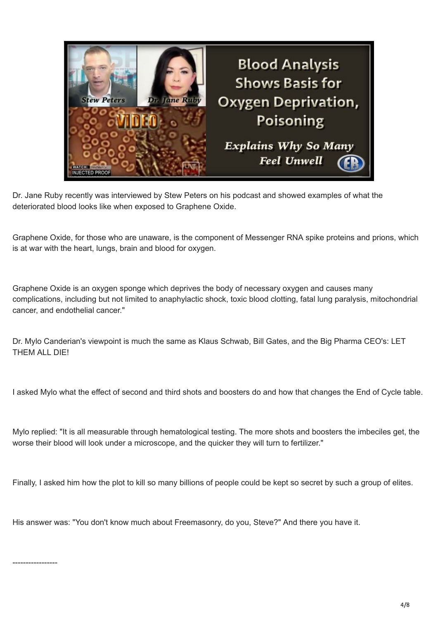

Dr. Jane Ruby recently was [interviewed](https://www.bitchute.com/video/gSEUkG0AB8J5/) by Stew Peters on his podcast and showed examples of what the deteriorated blood looks like when exposed to Graphene Oxide.

Graphene Oxide, for those who are unaware, is the component of Messenger RNA spike proteins and prions, which is at war with the heart, lungs, brain and blood for oxygen.

Graphene Oxide is an oxygen sponge which deprives the body of necessary oxygen and causes many complications, including but not limited to anaphylactic shock, toxic blood clotting, fatal lung paralysis, mitochondrial cancer, and endothelial cancer."

Dr. Mylo Canderian's viewpoint is much the same as Klaus Schwab, Bill Gates, and the Big Pharma CEO's: LET THEM ALL DIE!

I asked Mylo what the effect of second and third shots and boosters do and how that changes the End of Cycle table.

Mylo replied: "It is all measurable through hematological testing. The more shots and boosters the imbeciles get, the worse their blood will look under a microscope, and the quicker they will turn to fertilizer."

Finally, I asked him how the plot to kill so many billions of people could be kept so secret by such a group of elites.

His answer was: "You don't know much about Freemasonry, do you, Steve?" And there you have it.

-----------------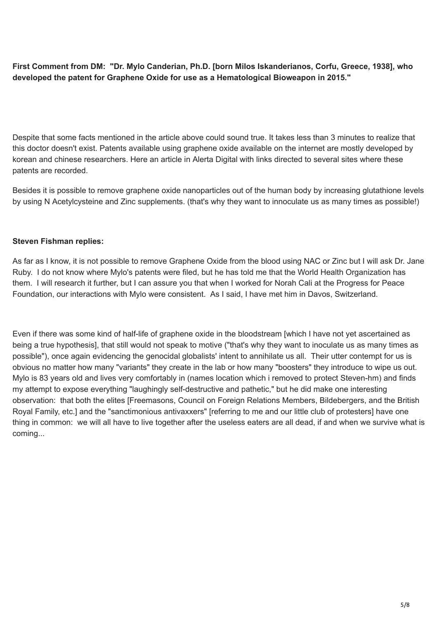**First Comment from DM: "Dr. Mylo Canderian, Ph.D. [born Milos Iskanderianos, Corfu, Greece, 1938], who developed the patent for Graphene Oxide for use as a Hematological Bioweapon in 2015."**

Despite that some facts mentioned in the article above could sound true. It takes less than 3 minutes to realize that this doctor doesn't exist. Patents available using graphene oxide available on the internet are mostly developed by korean and chinese [researchers.](https://www.alertadigital.com/2021/07/17/las-patentes-de-oxido-de-grafeno-en-vacunas-covid-existen-y-son-reales/?fbclid=IwAR09g-JWM4qGOFsyRxrGRdwLA9sRT-sjHFgXJqTzZiSnJVTqCwyECEdmlzg) Here an article in Alerta Digital with links directed to several sites where these patents are recorded.

Besides it is possible to remove graphene oxide nanoparticles out of the human body by increasing glutathione levels by using N Acetylcysteine and Zinc supplements. (that's why they want to innoculate us as many times as possible!)

### **Steven Fishman replies:**

As far as I know, it is not possible to remove Graphene Oxide from the blood using NAC or Zinc but I will ask Dr. Jane Ruby. I do not know where Mylo's patents were filed, but he has told me that the World Health Organization has them. I will research it further, but I can assure you that when I worked for Norah Cali at the Progress for Peace Foundation, our interactions with Mylo were consistent. As I said, I have met him in Davos, Switzerland.

Even if there was some kind of half-life of graphene oxide in the bloodstream [which I have not yet ascertained as being a true hypothesis], that still would not speak to motive ("that's why they want to inoculate us as many times as possible"), once again evidencing the genocidal globalists' intent to annihilate us all. Their utter contempt for us is obvious no matter how many "variants" they create in the lab or how many "boosters" they introduce to wipe us out. Mylo is 83 years old and lives very comfortably in (names location which i removed to protect Steven-hm) and finds my attempt to expose everything "laughingly self-destructive and pathetic," but he did make one interesting observation: that both the elites [Freemasons, Council on Foreign Relations Members, Bildebergers, and the British Royal Family, etc.] and the "sanctimonious antivaxxers" [referring to me and our little club of protesters] have one thing in common: we will all have to live together after the useless eaters are all dead, if and when we survive what is coming...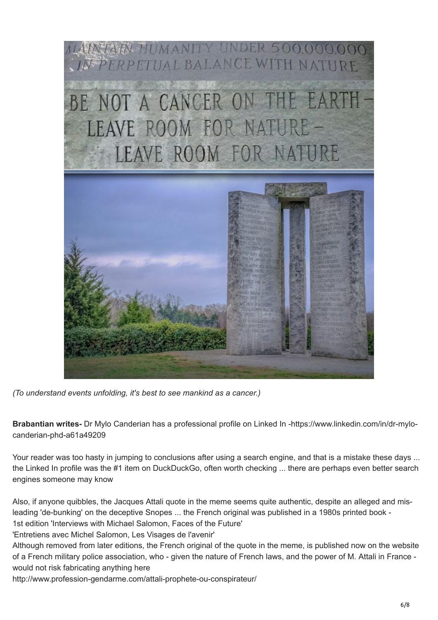

*(To understand events unfolding, it's best to see mankind as a cancer.)*

**Brabantian writes-** Dr Mylo Canderian has a professional profile on Linked In [-https://www.linkedin.com/in/dr-mylo](https://www.linkedin.com/in/dr-mylo-canderian-phd-a61a49209)canderian-phd-a61a49209

Your reader was too hasty in jumping to conclusions after using a search engine, and that is a mistake these days ... the Linked In profile was the #1 item on DuckDuckGo, often worth checking ... there are perhaps even better search engines someone may know

Also, if anyone quibbles, the Jacques Attali quote in the meme seems quite authentic, despite an alleged and misleading 'de-bunking' on the deceptive Snopes ... the French original was published in a 1980s printed book -

1st edition 'Interviews with Michael Salomon, Faces of the Future' 'Entretiens avec Michel Salomon, Les Visages de l'avenir'

Although removed from later editions, the French original of the quote in the meme, is published now on the website of a French military police association, who - given the nature of French laws, and the power of M. Attali in France would not risk fabricating anything here

http://www.profession-gendarme.com/attali-prophete-ou-conspirateur/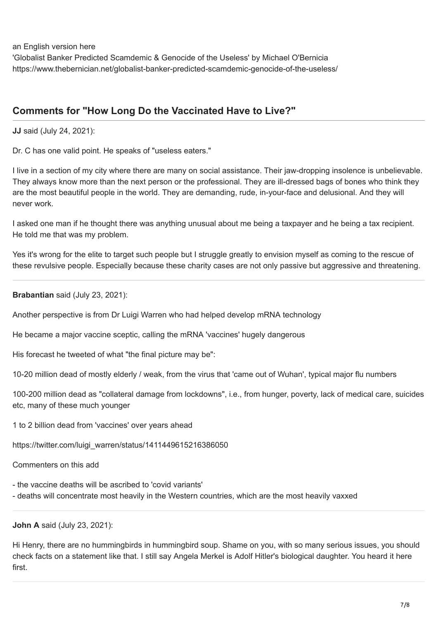an English version here

'Globalist Banker Predicted Scamdemic & Genocide of the Useless' by Michael O'Bernicia [https://www.thebernician.net/globalist-banker-predicted-scamdemic-genocide-of-the-useless/](http://www.profession-gendarme.com/attali-prophete-ou-conspirateur/)

# **Comments for "How Long Do the Vaccinated Have to Live?"**

**JJ** said (July 24, 2021):

Dr. C has one valid point. He speaks of "useless eaters."

I live in a section of my city where there are many on social assistance. Their jaw-dropping insolence is unbelievable. They always know more than the next person or the professional. They are ill-dressed bags of bones who think they are the most beautiful people in the world. They are demanding, rude, in-your-face and delusional. And they will never work.

I asked one man if he thought there was anything unusual about me being a taxpayer and he being a tax recipient. He told me that was my problem.

Yes it's wrong for the elite to target such people but I struggle greatly to envision myself as coming to the rescue of these revulsive people. Especially because these charity cases are not only passive but aggressive and threatening.

### **Brabantian** said (July 23, 2021):

Another perspective is from Dr Luigi Warren who had helped develop mRNA technology

He became a major vaccine sceptic, calling the mRNA 'vaccines' hugely dangerous

His forecast he tweeted of what "the final picture may be":

10-20 million dead of mostly elderly / weak, from the virus that 'came out of Wuhan', typical major flu numbers

100-200 million dead as "collateral damage from lockdowns", i.e., from hunger, poverty, lack of medical care, suicides etc, many of these much younger

1 to 2 billion dead from 'vaccines' over years ahead

[https://twitter.com/luigi\\_warren/status/1411449615216386050](https://twitter.com/luigi_warren/status/1411449615216386050)

Commenters on this add

- the vaccine deaths will be ascribed to 'covid variants'

- deaths will concentrate most heavily in the Western countries, which are the most heavily vaxxed

## **John A** said (July 23, 2021):

Hi Henry, there are no hummingbirds in hummingbird soup. Shame on you, with so many serious issues, you should check facts on a statement like that. I still say Angela Merkel is Adolf Hitler's biological daughter. You heard it here first.